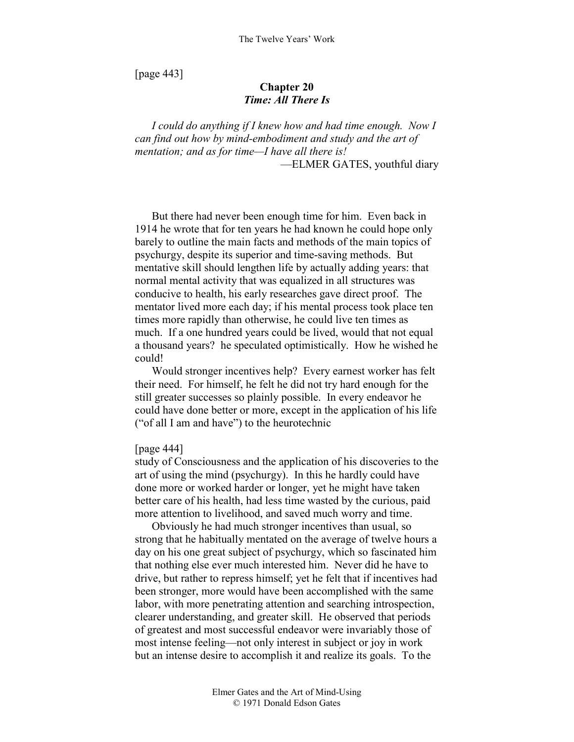[page 443]

# **Chapter 20**  *Time: All There Is*

*I could do anything if I knew how and had time enough. Now I can find out how by mind-embodiment and study and the art of mentation; and as for time—I have all there is!*  —ELMER GATES, youthful diary

But there had never been enough time for him. Even back in 1914 he wrote that for ten years he had known he could hope only barely to outline the main facts and methods of the main topics of psychurgy, despite its superior and time-saving methods. But mentative skill should lengthen life by actually adding years: that normal mental activity that was equalized in all structures was conducive to health, his early researches gave direct proof. The mentator lived more each day; if his mental process took place ten times more rapidly than otherwise, he could live ten times as much. If a one hundred years could be lived, would that not equal a thousand years? he speculated optimistically. How he wished he could!

Would stronger incentives help? Every earnest worker has felt their need. For himself, he felt he did not try hard enough for the still greater successes so plainly possible. In every endeavor he could have done better or more, except in the application of his life ("of all I am and have") to the heurotechnic

# [page 444]

study of Consciousness and the application of his discoveries to the art of using the mind (psychurgy). In this he hardly could have done more or worked harder or longer, yet he might have taken better care of his health, had less time wasted by the curious, paid more attention to livelihood, and saved much worry and time.

Obviously he had much stronger incentives than usual, so strong that he habitually mentated on the average of twelve hours a day on his one great subject of psychurgy, which so fascinated him that nothing else ever much interested him. Never did he have to drive, but rather to repress himself; yet he felt that if incentives had been stronger, more would have been accomplished with the same labor, with more penetrating attention and searching introspection, clearer understanding, and greater skill. He observed that periods of greatest and most successful endeavor were invariably those of most intense feeling—not only interest in subject or joy in work but an intense desire to accomplish it and realize its goals. To the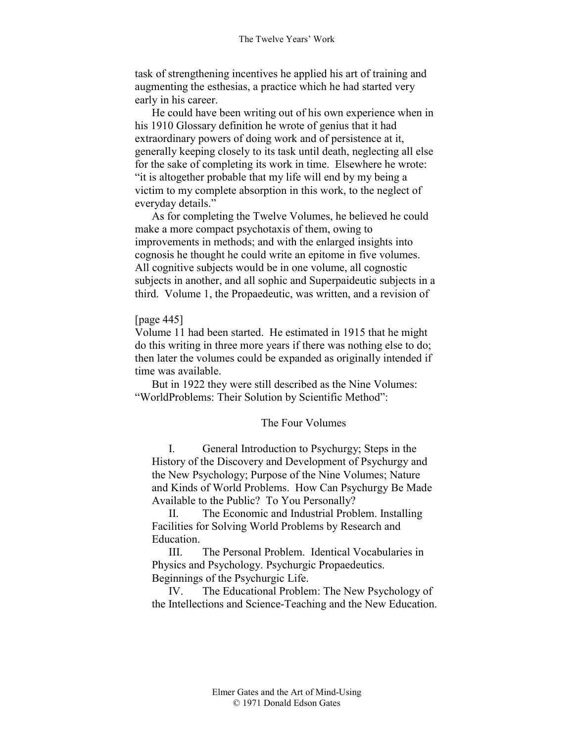task of strengthening incentives he applied his art of training and augmenting the esthesias, a practice which he had started very early in his career.

He could have been writing out of his own experience when in his 1910 Glossary definition he wrote of genius that it had extraordinary powers of doing work and of persistence at it, generally keeping closely to its task until death, neglecting all else for the sake of completing its work in time. Elsewhere he wrote: "it is altogether probable that my life will end by my being a victim to my complete absorption in this work, to the neglect of everyday details."

As for completing the Twelve Volumes, he believed he could make a more compact psychotaxis of them, owing to improvements in methods; and with the enlarged insights into cognosis he thought he could write an epitome in five volumes. All cognitive subjects would be in one volume, all cognostic subjects in another, and all sophic and Superpaideutic subjects in a third. Volume 1, the Propaedeutic, was written, and a revision of

# [page 445]

Volume 11 had been started. He estimated in 1915 that he might do this writing in three more years if there was nothing else to do; then later the volumes could be expanded as originally intended if time was available.

But in 1922 they were still described as the Nine Volumes: "WorldProblems: Their Solution by Scientific Method":

# The Four Volumes

I. General Introduction to Psychurgy; Steps in the History of the Discovery and Development of Psychurgy and the New Psychology; Purpose of the Nine Volumes; Nature and Kinds of World Problems. How Can Psychurgy Be Made Available to the Public? To You Personally?

II. The Economic and Industrial Problem. Installing Facilities for Solving World Problems by Research and Education.

III. The Personal Problem. Identical Vocabularies in Physics and Psychology. Psychurgic Propaedeutics. Beginnings of the Psychurgic Life.

IV. The Educational Problem: The New Psychology of the Intellections and Science-Teaching and the New Education.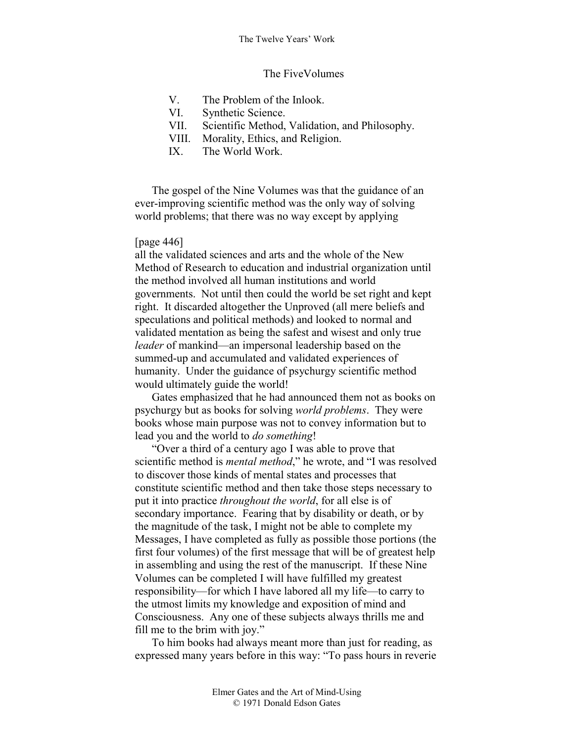### The FiveVolumes

- V. The Problem of the Inlook.
- VI. Synthetic Science.
- VII. Scientific Method, Validation, and Philosophy.
- VIII. Morality, Ethics, and Religion.
- IX. The World Work.

The gospel of the Nine Volumes was that the guidance of an ever-improving scientific method was the only way of solving world problems; that there was no way except by applying

### [page 446]

all the validated sciences and arts and the whole of the New Method of Research to education and industrial organization until the method involved all human institutions and world governments. Not until then could the world be set right and kept right. It discarded altogether the Unproved (all mere beliefs and speculations and political methods) and looked to normal and validated mentation as being the safest and wisest and only true *leader* of mankind—an impersonal leadership based on the summed-up and accumulated and validated experiences of humanity. Under the guidance of psychurgy scientific method would ultimately guide the world!

Gates emphasized that he had announced them not as books on psychurgy but as books for solving *world problems*. They were books whose main purpose was not to convey information but to lead you and the world to *do something*!

"Over a third of a century ago I was able to prove that scientific method is *mental method*," he wrote, and "I was resolved to discover those kinds of mental states and processes that constitute scientific method and then take those steps necessary to put it into practice *throughout the world*, for all else is of secondary importance. Fearing that by disability or death, or by the magnitude of the task, I might not be able to complete my Messages, I have completed as fully as possible those portions (the first four volumes) of the first message that will be of greatest help in assembling and using the rest of the manuscript. If these Nine Volumes can be completed I will have fulfilled my greatest responsibility—for which I have labored all my life—to carry to the utmost limits my knowledge and exposition of mind and Consciousness. Any one of these subjects always thrills me and fill me to the brim with joy."

To him books had always meant more than just for reading, as expressed many years before in this way: "To pass hours in reverie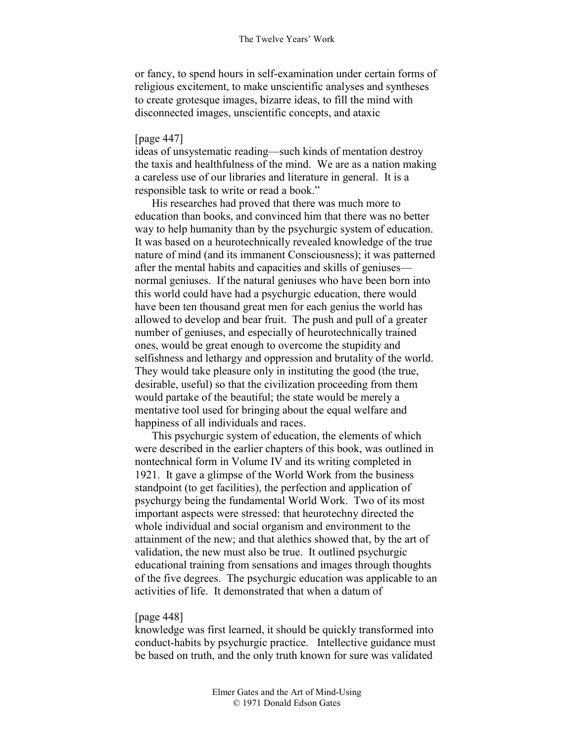or fancy, to spend hours in self-examination under certain forms of religious excitement, to make unscientific analyses and syntheses to create grotesque images, bizarre ideas, to fill the mind with disconnected images, unscientific concepts, and ataxic

### [page 447]

ideas of unsystematic reading—such kinds of mentation destroy the taxis and healthfulness of the mind. We are as a nation making a careless use of our libraries and literature in general. It is a responsible task to write or read a book."

His researches had proved that there was much more to education than books, and convinced him that there was no better way to help humanity than by the psychurgic system of education. It was based on a heurotechnically revealed knowledge of the true nature of mind (and its immanent Consciousness); it was patterned after the mental habits and capacities and skills of geniuses normal geniuses. If the natural geniuses who have been born into this world could have had a psychurgic education, there would have been ten thousand great men for each genius the world has allowed to develop and bear fruit. The push and pull of a greater number of geniuses, and especially of heurotechnically trained ones, would be great enough to overcome the stupidity and selfishness and lethargy and oppression and brutality of the world. They would take pleasure only in instituting the good (the true, desirable, useful) so that the civilization proceeding from them would partake of the beautiful; the state would be merely a mentative tool used for bringing about the equal welfare and happiness of all individuals and races.

This psychurgic system of education, the elements of which were described in the earlier chapters of this book, was outlined in nontechnical form in Volume IV and its writing completed in 1921. It gave a glimpse of the World Work from the business standpoint (to get facilities), the perfection and application of psychurgy being the fundamental World Work. Two of its most important aspects were stressed: that heurotechny directed the whole individual and social organism and environment to the attainment of the new; and that alethics showed that, by the art of validation, the new must also be true. It outlined psychurgic educational training from sensations and images through thoughts of the five degrees. The psychurgic education was applicable to an activities of life. It demonstrated that when a datum of

#### [page 448]

knowledge was first learned, it should be quickly transformed into conduct-habits by psychurgic practice. Intellective guidance must be based on truth, and the only truth known for sure was validated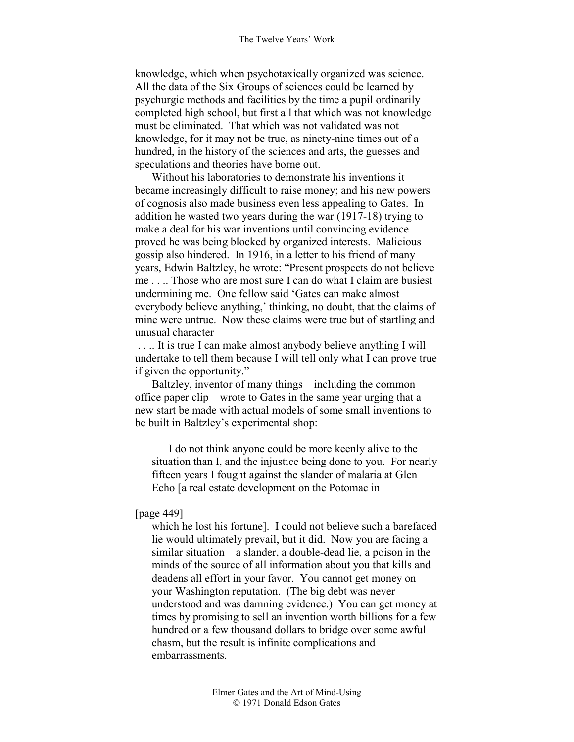knowledge, which when psychotaxically organized was science. All the data of the Six Groups of sciences could be learned by psychurgic methods and facilities by the time a pupil ordinarily completed high school, but first all that which was not knowledge must be eliminated. That which was not validated was not knowledge, for it may not be true, as ninety-nine times out of a hundred, in the history of the sciences and arts, the guesses and speculations and theories have borne out.

Without his laboratories to demonstrate his inventions it became increasingly difficult to raise money; and his new powers of cognosis also made business even less appealing to Gates. In addition he wasted two years during the war (1917-18) trying to make a deal for his war inventions until convincing evidence proved he was being blocked by organized interests. Malicious gossip also hindered. In 1916, in a letter to his friend of many years, Edwin Baltzley, he wrote: "Present prospects do not believe me . . .. Those who are most sure I can do what I claim are busiest undermining me. One fellow said 'Gates can make almost everybody believe anything,' thinking, no doubt, that the claims of mine were untrue. Now these claims were true but of startling and unusual character

 . . .. It is true I can make almost anybody believe anything I will undertake to tell them because I will tell only what I can prove true if given the opportunity."

Baltzley, inventor of many things—including the common office paper clip—wrote to Gates in the same year urging that a new start be made with actual models of some small inventions to be built in Baltzley's experimental shop:

I do not think anyone could be more keenly alive to the situation than I, and the injustice being done to you. For nearly fifteen years I fought against the slander of malaria at Glen Echo [a real estate development on the Potomac in

# [page 449]

which he lost his fortune]. I could not believe such a barefaced lie would ultimately prevail, but it did. Now you are facing a similar situation—a slander, a double-dead lie, a poison in the minds of the source of all information about you that kills and deadens all effort in your favor. You cannot get money on your Washington reputation. (The big debt was never understood and was damning evidence.) You can get money at times by promising to sell an invention worth billions for a few hundred or a few thousand dollars to bridge over some awful chasm, but the result is infinite complications and embarrassments.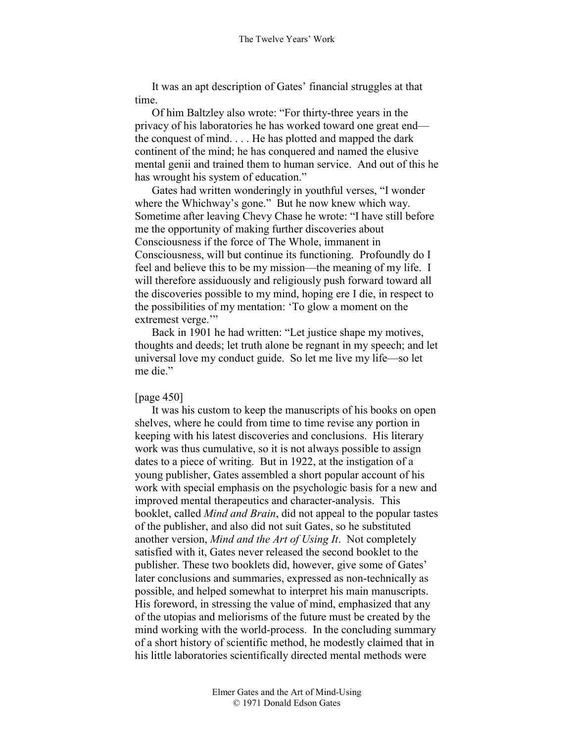It was an apt description of Gates' financial struggles at that time.

Of him Baltzley also wrote: "For thirty-three years in the privacy of his laboratories he has worked toward one great end the conquest of mind. . . . He has plotted and mapped the dark continent of the mind; he has conquered and named the elusive mental genii and trained them to human service. And out of this he has wrought his system of education."

Gates had written wonderingly in youthful verses, "I wonder where the Whichway's gone." But he now knew which way. Sometime after leaving Chevy Chase he wrote: "I have still before me the opportunity of making further discoveries about Consciousness if the force of The Whole, immanent in Consciousness, will but continue its functioning. Profoundly do I feel and believe this to be my mission—the meaning of my life. I will therefore assiduously and religiously push forward toward all the discoveries possible to my mind, hoping ere I die, in respect to the possibilities of my mentation: 'To glow a moment on the extremest verge."

Back in 1901 he had written: "Let justice shape my motives, thoughts and deeds; let truth alone be regnant in my speech; and let universal love my conduct guide. So let me live my life—so let me die."

### [page 450]

It was his custom to keep the manuscripts of his books on open shelves, where he could from time to time revise any portion in keeping with his latest discoveries and conclusions. His literary work was thus cumulative, so it is not always possible to assign dates to a piece of writing. But in 1922, at the instigation of a young publisher, Gates assembled a short popular account of his work with special emphasis on the psychologic basis for a new and improved mental therapeutics and character-analysis. This booklet, called *Mind and Brain*, did not appeal to the popular tastes of the publisher, and also did not suit Gates, so he substituted another version, *Mind and the Art of Using It*. Not completely satisfied with it, Gates never released the second booklet to the publisher. These two booklets did, however, give some of Gates' later conclusions and summaries, expressed as non-technically as possible, and helped somewhat to interpret his main manuscripts. His foreword, in stressing the value of mind, emphasized that any of the utopias and meliorisms of the future must be created by the mind working with the world-process. In the concluding summary of a short history of scientific method, he modestly claimed that in his little laboratories scientifically directed mental methods were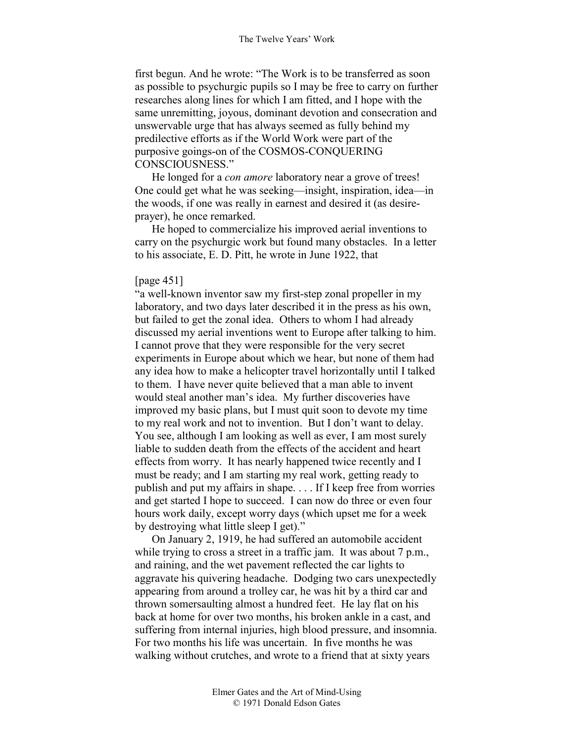first begun. And he wrote: "The Work is to be transferred as soon as possible to psychurgic pupils so I may be free to carry on further researches along lines for which I am fitted, and I hope with the same unremitting, joyous, dominant devotion and consecration and unswervable urge that has always seemed as fully behind my predilective efforts as if the World Work were part of the purposive goings-on of the COSMOS-CONQUERING CONSCIOUSNESS."

He longed for a *con amore* laboratory near a grove of trees! One could get what he was seeking—insight, inspiration, idea—in the woods, if one was really in earnest and desired it (as desireprayer), he once remarked.

He hoped to commercialize his improved aerial inventions to carry on the psychurgic work but found many obstacles. In a letter to his associate, E. D. Pitt, he wrote in June 1922, that

#### [page 451]

"a well-known inventor saw my first-step zonal propeller in my laboratory, and two days later described it in the press as his own, but failed to get the zonal idea. Others to whom I had already discussed my aerial inventions went to Europe after talking to him. I cannot prove that they were responsible for the very secret experiments in Europe about which we hear, but none of them had any idea how to make a helicopter travel horizontally until I talked to them. I have never quite believed that a man able to invent would steal another man's idea. My further discoveries have improved my basic plans, but I must quit soon to devote my time to my real work and not to invention. But I don't want to delay. You see, although I am looking as well as ever, I am most surely liable to sudden death from the effects of the accident and heart effects from worry. It has nearly happened twice recently and I must be ready; and I am starting my real work, getting ready to publish and put my affairs in shape. . . . If I keep free from worries and get started I hope to succeed. I can now do three or even four hours work daily, except worry days (which upset me for a week by destroying what little sleep I get)."

On January 2, 1919, he had suffered an automobile accident while trying to cross a street in a traffic jam. It was about 7 p.m., and raining, and the wet pavement reflected the car lights to aggravate his quivering headache. Dodging two cars unexpectedly appearing from around a trolley car, he was hit by a third car and thrown somersaulting almost a hundred feet. He lay flat on his back at home for over two months, his broken ankle in a cast, and suffering from internal injuries, high blood pressure, and insomnia. For two months his life was uncertain. In five months he was walking without crutches, and wrote to a friend that at sixty years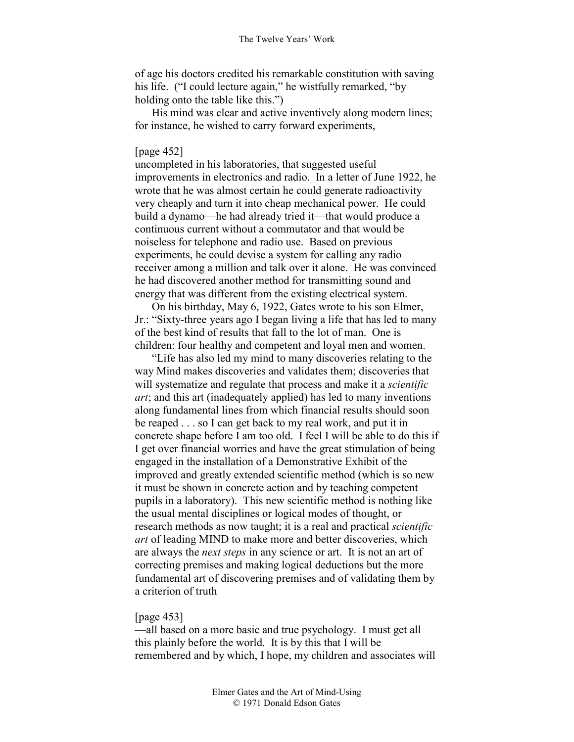of age his doctors credited his remarkable constitution with saving his life. ("I could lecture again," he wistfully remarked, "by holding onto the table like this.")

His mind was clear and active inventively along modern lines; for instance, he wished to carry forward experiments,

### [page 452]

uncompleted in his laboratories, that suggested useful improvements in electronics and radio. In a letter of June 1922, he wrote that he was almost certain he could generate radioactivity very cheaply and turn it into cheap mechanical power. He could build a dynamo—he had already tried it—that would produce a continuous current without a commutator and that would be noiseless for telephone and radio use. Based on previous experiments, he could devise a system for calling any radio receiver among a million and talk over it alone. He was convinced he had discovered another method for transmitting sound and energy that was different from the existing electrical system.

On his birthday, May 6, 1922, Gates wrote to his son Elmer, Jr.: "Sixty-three years ago I began living a life that has led to many of the best kind of results that fall to the lot of man. One is children: four healthy and competent and loyal men and women.

"Life has also led my mind to many discoveries relating to the way Mind makes discoveries and validates them; discoveries that will systematize and regulate that process and make it a *scientific art*; and this art (inadequately applied) has led to many inventions along fundamental lines from which financial results should soon be reaped . . . so I can get back to my real work, and put it in concrete shape before I am too old. I feel I will be able to do this if I get over financial worries and have the great stimulation of being engaged in the installation of a Demonstrative Exhibit of the improved and greatly extended scientific method (which is so new it must be shown in concrete action and by teaching competent pupils in a laboratory). This new scientific method is nothing like the usual mental disciplines or logical modes of thought, or research methods as now taught; it is a real and practical *scientific art* of leading MIND to make more and better discoveries, which are always the *next steps* in any science or art. It is not an art of correcting premises and making logical deductions but the more fundamental art of discovering premises and of validating them by a criterion of truth

### [page 453]

—all based on a more basic and true psychology. I must get all this plainly before the world. It is by this that I will be remembered and by which, I hope, my children and associates will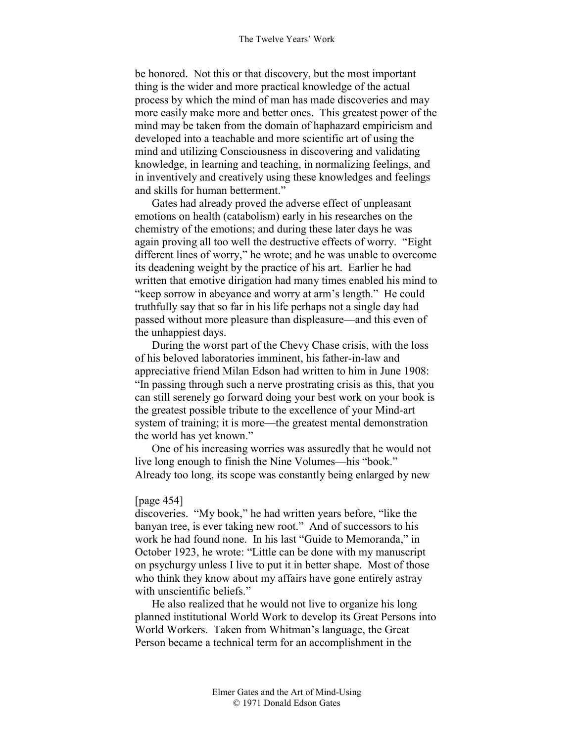be honored. Not this or that discovery, but the most important thing is the wider and more practical knowledge of the actual process by which the mind of man has made discoveries and may more easily make more and better ones. This greatest power of the mind may be taken from the domain of haphazard empiricism and developed into a teachable and more scientific art of using the mind and utilizing Consciousness in discovering and validating knowledge, in learning and teaching, in normalizing feelings, and in inventively and creatively using these knowledges and feelings and skills for human betterment."

Gates had already proved the adverse effect of unpleasant emotions on health (catabolism) early in his researches on the chemistry of the emotions; and during these later days he was again proving all too well the destructive effects of worry. "Eight different lines of worry," he wrote; and he was unable to overcome its deadening weight by the practice of his art. Earlier he had written that emotive dirigation had many times enabled his mind to "keep sorrow in abeyance and worry at arm's length." He could truthfully say that so far in his life perhaps not a single day had passed without more pleasure than displeasure—and this even of the unhappiest days.

During the worst part of the Chevy Chase crisis, with the loss of his beloved laboratories imminent, his father-in-law and appreciative friend Milan Edson had written to him in June 1908: "In passing through such a nerve prostrating crisis as this, that you can still serenely go forward doing your best work on your book is the greatest possible tribute to the excellence of your Mind-art system of training; it is more—the greatest mental demonstration the world has yet known."

One of his increasing worries was assuredly that he would not live long enough to finish the Nine Volumes—his "book." Already too long, its scope was constantly being enlarged by new

# [page 454]

discoveries. "My book," he had written years before, "like the banyan tree, is ever taking new root." And of successors to his work he had found none. In his last "Guide to Memoranda," in October 1923, he wrote: "Little can be done with my manuscript on psychurgy unless I live to put it in better shape. Most of those who think they know about my affairs have gone entirely astray with unscientific beliefs."

He also realized that he would not live to organize his long planned institutional World Work to develop its Great Persons into World Workers. Taken from Whitman's language, the Great Person became a technical term for an accomplishment in the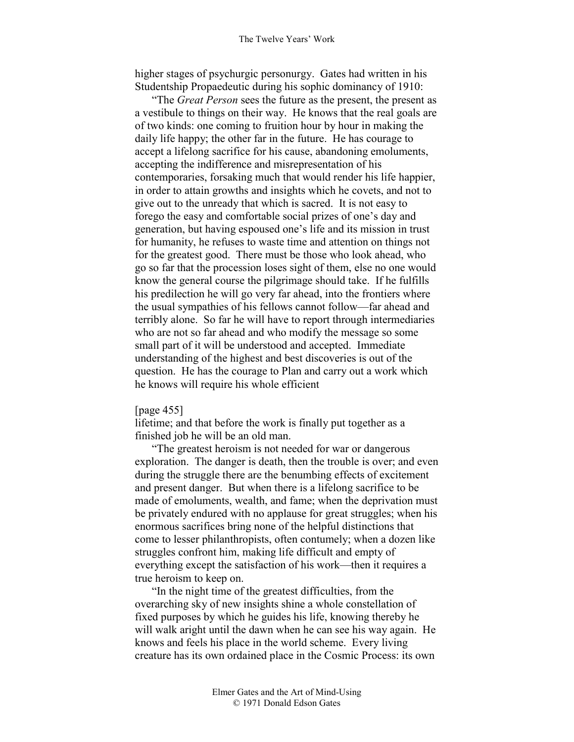higher stages of psychurgic personurgy. Gates had written in his Studentship Propaedeutic during his sophic dominancy of 1910:

"The *Great Person* sees the future as the present, the present as a vestibule to things on their way. He knows that the real goals are of two kinds: one coming to fruition hour by hour in making the daily life happy; the other far in the future. He has courage to accept a lifelong sacrifice for his cause, abandoning emoluments, accepting the indifference and misrepresentation of his contemporaries, forsaking much that would render his life happier, in order to attain growths and insights which he covets, and not to give out to the unready that which is sacred. It is not easy to forego the easy and comfortable social prizes of one's day and generation, but having espoused one's life and its mission in trust for humanity, he refuses to waste time and attention on things not for the greatest good. There must be those who look ahead, who go so far that the procession loses sight of them, else no one would know the general course the pilgrimage should take. If he fulfills his predilection he will go very far ahead, into the frontiers where the usual sympathies of his fellows cannot follow—far ahead and terribly alone. So far he will have to report through intermediaries who are not so far ahead and who modify the message so some small part of it will be understood and accepted. Immediate understanding of the highest and best discoveries is out of the question. He has the courage to Plan and carry out a work which he knows will require his whole efficient

### [page 455]

lifetime; and that before the work is finally put together as a finished job he will be an old man.

"The greatest heroism is not needed for war or dangerous exploration. The danger is death, then the trouble is over; and even during the struggle there are the benumbing effects of excitement and present danger. But when there is a lifelong sacrifice to be made of emoluments, wealth, and fame; when the deprivation must be privately endured with no applause for great struggles; when his enormous sacrifices bring none of the helpful distinctions that come to lesser philanthropists, often contumely; when a dozen like struggles confront him, making life difficult and empty of everything except the satisfaction of his work—then it requires a true heroism to keep on.

"In the night time of the greatest difficulties, from the overarching sky of new insights shine a whole constellation of fixed purposes by which he guides his life, knowing thereby he will walk aright until the dawn when he can see his way again. He knows and feels his place in the world scheme. Every living creature has its own ordained place in the Cosmic Process: its own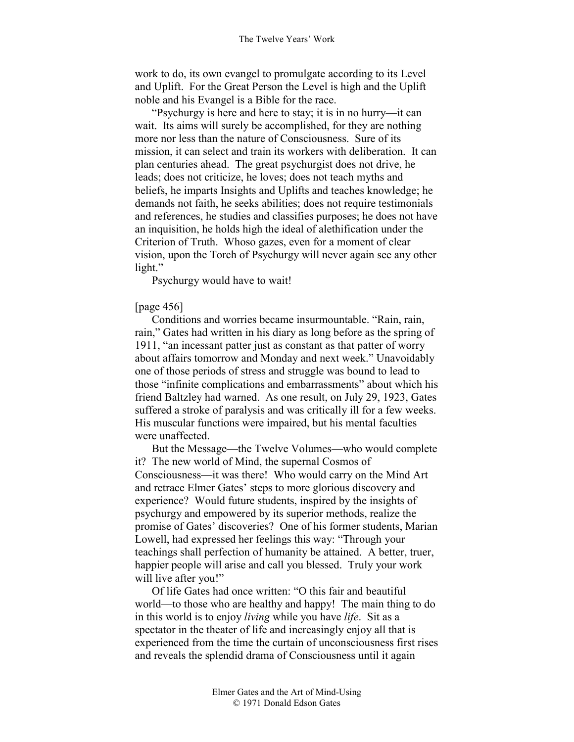work to do, its own evangel to promulgate according to its Level and Uplift. For the Great Person the Level is high and the Uplift noble and his Evangel is a Bible for the race.

"Psychurgy is here and here to stay; it is in no hurry—it can wait. Its aims will surely be accomplished, for they are nothing more nor less than the nature of Consciousness. Sure of its mission, it can select and train its workers with deliberation. It can plan centuries ahead. The great psychurgist does not drive, he leads; does not criticize, he loves; does not teach myths and beliefs, he imparts Insights and Uplifts and teaches knowledge; he demands not faith, he seeks abilities; does not require testimonials and references, he studies and classifies purposes; he does not have an inquisition, he holds high the ideal of alethification under the Criterion of Truth. Whoso gazes, even for a moment of clear vision, upon the Torch of Psychurgy will never again see any other light."

Psychurgy would have to wait!

### [page 456]

Conditions and worries became insurmountable. "Rain, rain, rain," Gates had written in his diary as long before as the spring of 1911, "an incessant patter just as constant as that patter of worry about affairs tomorrow and Monday and next week." Unavoidably one of those periods of stress and struggle was bound to lead to those "infinite complications and embarrassments" about which his friend Baltzley had warned. As one result, on July 29, 1923, Gates suffered a stroke of paralysis and was critically ill for a few weeks. His muscular functions were impaired, but his mental faculties were unaffected.

But the Message—the Twelve Volumes—who would complete it? The new world of Mind, the supernal Cosmos of Consciousness—it was there! Who would carry on the Mind Art and retrace Elmer Gates' steps to more glorious discovery and experience? Would future students, inspired by the insights of psychurgy and empowered by its superior methods, realize the promise of Gates' discoveries? One of his former students, Marian Lowell, had expressed her feelings this way: "Through your teachings shall perfection of humanity be attained. A better, truer, happier people will arise and call you blessed. Truly your work will live after you!"

Of life Gates had once written: "O this fair and beautiful world—to those who are healthy and happy! The main thing to do in this world is to enjoy *living* while you have *life*. Sit as a spectator in the theater of life and increasingly enjoy all that is experienced from the time the curtain of unconsciousness first rises and reveals the splendid drama of Consciousness until it again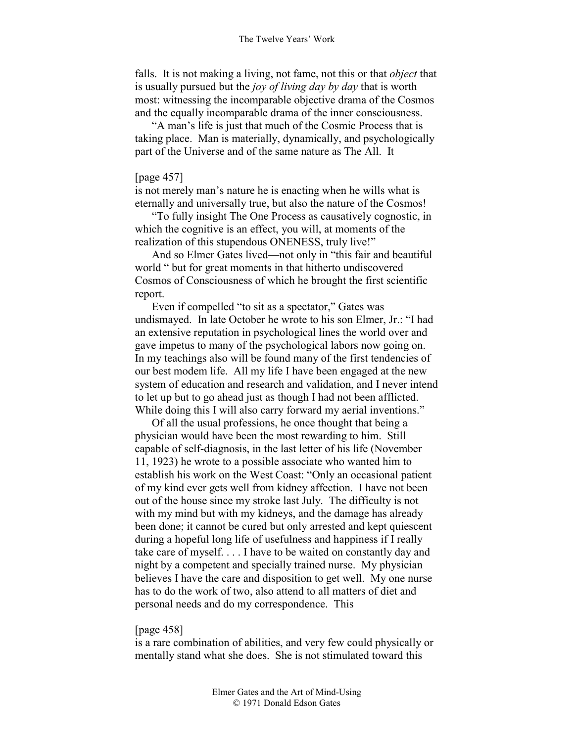falls. It is not making a living, not fame, not this or that *object* that is usually pursued but the *joy of living day by day* that is worth most: witnessing the incomparable objective drama of the Cosmos and the equally incomparable drama of the inner consciousness.

"A man's life is just that much of the Cosmic Process that is taking place. Man is materially, dynamically, and psychologically part of the Universe and of the same nature as The All. It

### [page 457]

is not merely man's nature he is enacting when he wills what is eternally and universally true, but also the nature of the Cosmos!

"To fully insight The One Process as causatively cognostic, in which the cognitive is an effect, you will, at moments of the realization of this stupendous ONENESS, truly live!"

And so Elmer Gates lived—not only in "this fair and beautiful world " but for great moments in that hitherto undiscovered Cosmos of Consciousness of which he brought the first scientific report.

Even if compelled "to sit as a spectator," Gates was undismayed. In late October he wrote to his son Elmer, Jr.: "I had an extensive reputation in psychological lines the world over and gave impetus to many of the psychological labors now going on. In my teachings also will be found many of the first tendencies of our best modem life. All my life I have been engaged at the new system of education and research and validation, and I never intend to let up but to go ahead just as though I had not been afflicted. While doing this I will also carry forward my aerial inventions."

Of all the usual professions, he once thought that being a physician would have been the most rewarding to him. Still capable of self-diagnosis, in the last letter of his life (November 11, 1923) he wrote to a possible associate who wanted him to establish his work on the West Coast: "Only an occasional patient of my kind ever gets well from kidney affection. I have not been out of the house since my stroke last July. The difficulty is not with my mind but with my kidneys, and the damage has already been done; it cannot be cured but only arrested and kept quiescent during a hopeful long life of usefulness and happiness if I really take care of myself. . . . I have to be waited on constantly day and night by a competent and specially trained nurse. My physician believes I have the care and disposition to get well. My one nurse has to do the work of two, also attend to all matters of diet and personal needs and do my correspondence. This

#### [page 458]

is a rare combination of abilities, and very few could physically or mentally stand what she does. She is not stimulated toward this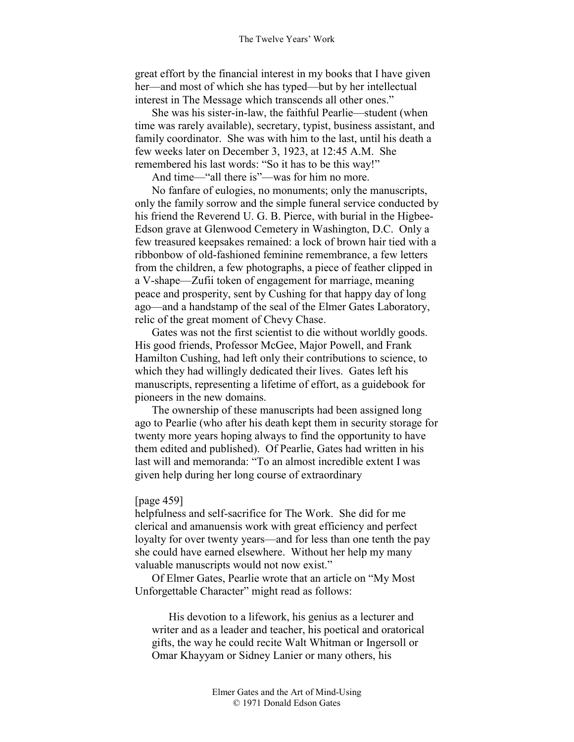great effort by the financial interest in my books that I have given her—and most of which she has typed—but by her intellectual interest in The Message which transcends all other ones."

She was his sister-in-law, the faithful Pearlie—student (when time was rarely available), secretary, typist, business assistant, and family coordinator. She was with him to the last, until his death a few weeks later on December 3, 1923, at 12:45 A.M. She remembered his last words: "So it has to be this way!"

And time—"all there is"—was for him no more.

No fanfare of eulogies, no monuments; only the manuscripts, only the family sorrow and the simple funeral service conducted by his friend the Reverend U. G. B. Pierce, with burial in the Higbee-Edson grave at Glenwood Cemetery in Washington, D.C. Only a few treasured keepsakes remained: a lock of brown hair tied with a ribbonbow of old-fashioned feminine remembrance, a few letters from the children, a few photographs, a piece of feather clipped in a V-shape—Zufii token of engagement for marriage, meaning peace and prosperity, sent by Cushing for that happy day of long ago—and a handstamp of the seal of the Elmer Gates Laboratory, relic of the great moment of Chevy Chase.

Gates was not the first scientist to die without worldly goods. His good friends, Professor McGee, Major Powell, and Frank Hamilton Cushing, had left only their contributions to science, to which they had willingly dedicated their lives. Gates left his manuscripts, representing a lifetime of effort, as a guidebook for pioneers in the new domains.

The ownership of these manuscripts had been assigned long ago to Pearlie (who after his death kept them in security storage for twenty more years hoping always to find the opportunity to have them edited and published). Of Pearlie, Gates had written in his last will and memoranda: "To an almost incredible extent I was given help during her long course of extraordinary

### [page 459]

helpfulness and self-sacrifice for The Work. She did for me clerical and amanuensis work with great efficiency and perfect loyalty for over twenty years—and for less than one tenth the pay she could have earned elsewhere. Without her help my many valuable manuscripts would not now exist."

Of Elmer Gates, Pearlie wrote that an article on "My Most Unforgettable Character" might read as follows:

His devotion to a lifework, his genius as a lecturer and writer and as a leader and teacher, his poetical and oratorical gifts, the way he could recite Walt Whitman or Ingersoll or Omar Khayyam or Sidney Lanier or many others, his